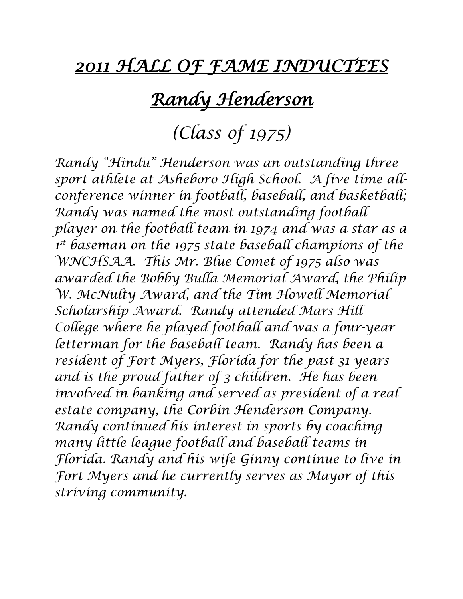#### *2011 HALL OF FAME INDUCTEES*

### *Randy Henderson*

### *(Class of 1975)*

*Randy "Hindu" Henderson was an outstanding three sport athlete at Asheboro High School. A five time allconference winner in football, baseball, and basketball; Randy was named the most outstanding football player on the football team in 1974 and was a star as a 1 st baseman on the 1975 state baseball champions of the WNCHSAA. This Mr. Blue Comet of 1975 also was awarded the Bobby Bulla Memorial Award, the Philip W. McNulty Award, and the Tim Howell Memorial Scholarship Award. Randy attended Mars Hill College where he played football and was a four-year letterman for the baseball team. Randy has been a resident of Fort Myers, Florida for the past 31 years and is the proud father of 3 children. He has been involved in banking and served as president of a real estate company, the Corbin Henderson Company. Randy continued his interest in sports by coaching many little league football and baseball teams in Florida. Randy and his wife Ginny continue to live in Fort Myers and he currently serves as Mayor of this striving community.*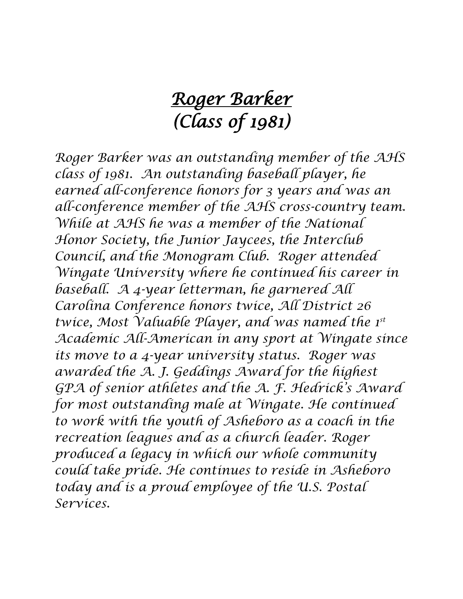# *Roger Barker (Class of 1981)*

*Roger Barker was an outstanding member of the AHS class of 1981. An outstanding baseball player, he earned all-conference honors for 3 years and was an all-conference member of the AHS cross-country team. While at AHS he was a member of the National Honor Society, the Junior Jaycees, the Interclub Council, and the Monogram Club. Roger attended Wingate University where he continued his career in baseball. A 4-year letterman, he garnered All Carolina Conference honors twice, All District 26 twice, Most Valuable Player, and was named the 1st Academic All-American in any sport at Wingate since its move to a 4-year university status. Roger was awarded the A. J. Geddings Award for the highest GPA of senior athletes and the A. F. Hedrick's Award for most outstanding male at Wingate. He continued to work with the youth of Asheboro as a coach in the recreation leagues and as a church leader. Roger produced a legacy in which our whole community could take pride. He continues to reside in Asheboro today and is a proud employee of the U.S. Postal Services.*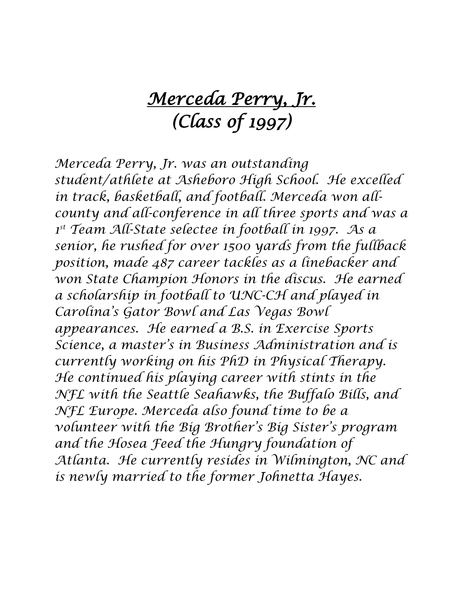# *Merceda Perry, Jr. (Class of 1997)*

*Merceda Perry, Jr. was an outstanding student/athlete at Asheboro High School. He excelled in track, basketball, and football. Merceda won allcounty and all-conference in all three sports and was a 1 st Team All-State selectee in football in 1997. As a senior, he rushed for over 1500 yards from the fullback position, made 487 career tackles as a linebacker and won State Champion Honors in the discus. He earned a scholarship in football to UNC-CH and played in Carolina's Gator Bowl and Las Vegas Bowl appearances. He earned a B.S. in Exercise Sports Science, a master's in Business Administration and is currently working on his PhD in Physical Therapy. He continued his playing career with stints in the NFL with the Seattle Seahawks, the Buffalo Bills, and NFL Europe. Merceda also found time to be a volunteer with the Big Brother's Big Sister's program and the Hosea Feed the Hungry foundation of Atlanta. He currently resides in Wilmington, NC and is newly married to the former Johnetta Hayes.*